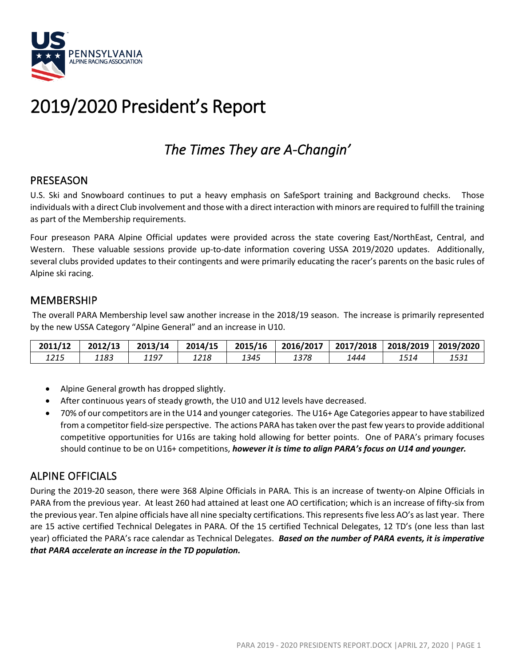

# 2019/2020 President's Report

## *The Times They are A-Changin'*

## PRESEASON

U.S. Ski and Snowboard continues to put a heavy emphasis on SafeSport training and Background checks. Those individuals with a direct Club involvement and those with a direct interaction with minors are required to fulfill the training as part of the Membership requirements.

Four preseason PARA Alpine Official updates were provided across the state covering East/NorthEast, Central, and Western. These valuable sessions provide up-to-date information covering USSA 2019/2020 updates. Additionally, several clubs provided updates to their contingents and were primarily educating the racer's parents on the basic rules of Alpine ski racing.

#### MEMBERSHIP

The overall PARA Membership level saw another increase in the 2018/19 season. The increase is primarily represented by the new USSA Category "Alpine General" and an increase in U10.

| 2011/12 | 2012/13 | 2013/14 | 2014/15 | 2015/16 | 2016/2017 | 12017/2018 |      | 2018/2019   2019/2020 |
|---------|---------|---------|---------|---------|-----------|------------|------|-----------------------|
| 1215    | 1183    | 1197    | 1218    | 1345    | 1378      | 1444       | 1514 | 1531                  |

- Alpine General growth has dropped slightly.
- After continuous years of steady growth, the U10 and U12 levels have decreased.
- 70% of our competitors are in the U14 and younger categories. The U16+ Age Categories appear to have stabilized from a competitor field-size perspective. The actions PARA has taken over the past few years to provide additional competitive opportunities for U16s are taking hold allowing for better points. One of PARA's primary focuses should continue to be on U16+ competitions, *however it is time to align PARA's focus on U14 and younger.*

## ALPINE OFFICIALS

During the 2019-20 season, there were 368 Alpine Officials in PARA. This is an increase of twenty-on Alpine Officials in PARA from the previous year. At least 260 had attained at least one AO certification; which is an increase of fifty-six from the previous year. Ten alpine officials have all nine specialty certifications. This represents five less AO's as last year. There are 15 active certified Technical Delegates in PARA. Of the 15 certified Technical Delegates, 12 TD's (one less than last year) officiated the PARA's race calendar as Technical Delegates. *Based on the number of PARA events, it is imperative that PARA accelerate an increase in the TD population.*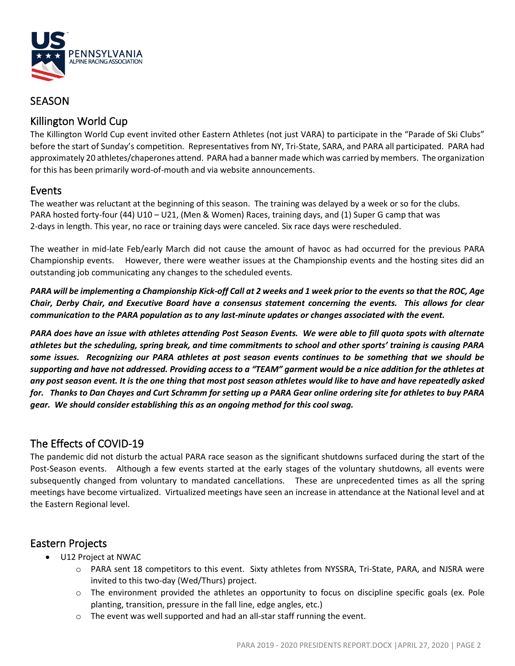

#### **SEASON**

## Killington World Cup

The Killington World Cup event invited other Eastern Athletes (not just VARA) to participate in the "Parade of Ski Clubs" before the start of Sunday's competition. Representatives from NY, Tri-State, SARA, and PARA all participated. PARA had approximately 20 athletes/chaperones attend. PARA had a banner made which was carried by members. The organization for this has been primarily word-of-mouth and via website announcements.

#### Events

The weather was reluctant at the beginning of this season. The training was delayed by a week or so for the clubs. PARA hosted forty-four (44) U10 – U21, (Men & Women) Races, training days, and (1) Super G camp that was 2-days in length. This year, no race or training days were canceled. Six race days were rescheduled.

The weather in mid-late Feb/early March did not cause the amount of havoc as had occurred for the previous PARA Championship events. However, there were weather issues at the Championship events and the hosting sites did an outstanding job communicating any changes to the scheduled events.

*PARA will be implementing a Championship Kick-off Call at 2 weeks and 1 week prior to the events so that the ROC, Age Chair, Derby Chair, and Executive Board have a consensus statement concerning the events. This allows for clear communication to the PARA population as to any last-minute updates or changes associated with the event.*

*PARA does have an issue with athletes attending Post Season Events. We were able to fill quota spots with alternate athletes but the scheduling, spring break, and time commitments to school and other sports' training is causing PARA some issues. Recognizing our PARA athletes at post season events continues to be something that we should be supporting and have not addressed. Providing access to a "TEAM" garment would be a nice addition for the athletes at any post season event. It is the one thing that most post season athletes would like to have and have repeatedly asked for. Thanks to Dan Chayes and Curt Schramm for setting up a PARA Gear online ordering site for athletes to buy PARA gear. We should consider establishing this as an ongoing method for this cool swag.*

## The Effects of COVID-19

The pandemic did not disturb the actual PARA race season as the significant shutdowns surfaced during the start of the Post-Season events. Although a few events started at the early stages of the voluntary shutdowns, all events were subsequently changed from voluntary to mandated cancellations. These are unprecedented times as all the spring meetings have become virtualized. Virtualized meetings have seen an increase in attendance at the National level and at the Eastern Regional level.

## Eastern Projects

- U12 Project at NWAC
	- o PARA sent 18 competitors to this event. Sixty athletes from NYSSRA, Tri-State, PARA, and NJSRA were invited to this two-day (Wed/Thurs) project.
	- $\circ$  The environment provided the athletes an opportunity to focus on discipline specific goals (ex. Pole planting, transition, pressure in the fall line, edge angles, etc.)
	- $\circ$  The event was well supported and had an all-star staff running the event.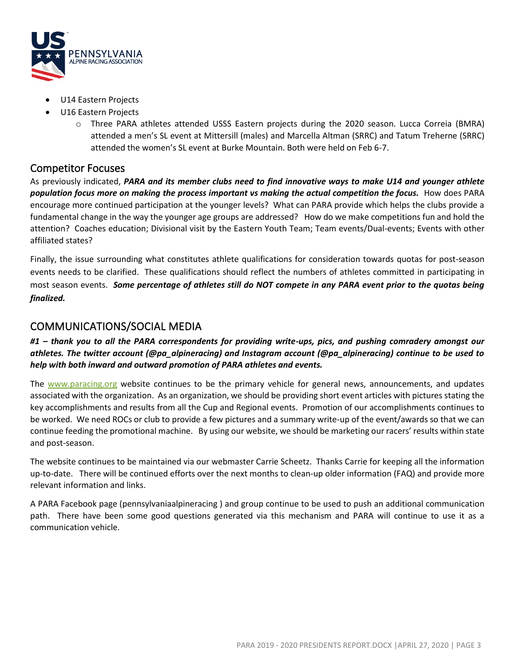

- U14 Eastern Projects
- U16 Eastern Projects
	- o Three PARA athletes attended USSS Eastern projects during the 2020 season. Lucca Correia (BMRA) attended a men's SL event at Mittersill (males) and Marcella Altman (SRRC) and Tatum Treherne (SRRC) attended the women's SL event at Burke Mountain. Both were held on Feb 6-7.

#### Competitor Focuses

As previously indicated, *PARA and its member clubs need to find innovative ways to make U14 and younger athlete population focus more on making the process important vs making the actual competition the focus.* How does PARA encourage more continued participation at the younger levels? What can PARA provide which helps the clubs provide a fundamental change in the way the younger age groups are addressed? How do we make competitions fun and hold the attention? Coaches education; Divisional visit by the Eastern Youth Team; Team events/Dual-events; Events with other affiliated states?

Finally, the issue surrounding what constitutes athlete qualifications for consideration towards quotas for post-season events needs to be clarified. These qualifications should reflect the numbers of athletes committed in participating in most season events. *Some percentage of athletes still do NOT compete in any PARA event prior to the quotas being finalized.*

#### COMMUNICATIONS/SOCIAL MEDIA

#### *#1 – thank you to all the PARA correspondents for providing write-ups, pics, and pushing comradery amongst our athletes. The twitter account (@pa\_alpineracing) and Instagram account (@pa\_alpineracing) continue to be used to help with both inward and outward promotion of PARA athletes and events.*

The [www.paracing.org](http://www.paracing.org/) website continues to be the primary vehicle for general news, announcements, and updates associated with the organization. As an organization, we should be providing short event articles with pictures stating the key accomplishments and results from all the Cup and Regional events. Promotion of our accomplishments continues to be worked. We need ROCs or club to provide a few pictures and a summary write-up of the event/awards so that we can continue feeding the promotional machine. By using our website, we should be marketing our racers' results within state and post-season.

The website continues to be maintained via our webmaster Carrie Scheetz. Thanks Carrie for keeping all the information up-to-date. There will be continued efforts over the next months to clean-up older information (FAQ) and provide more relevant information and links.

A PARA Facebook page (pennsylvaniaalpineracing ) and group continue to be used to push an additional communication path. There have been some good questions generated via this mechanism and PARA will continue to use it as a communication vehicle.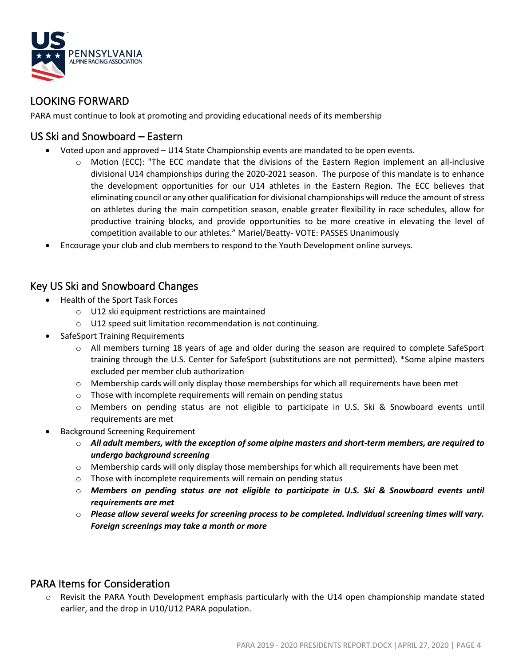

### LOOKING FORWARD

PARA must continue to look at promoting and providing educational needs of its membership

#### US Ski and Snowboard – Eastern

- Voted upon and approved U14 State Championship events are mandated to be open events.
	- o Motion (ECC): "The ECC mandate that the divisions of the Eastern Region implement an all-inclusive divisional U14 championships during the 2020-2021 season. The purpose of this mandate is to enhance the development opportunities for our U14 athletes in the Eastern Region. The ECC believes that eliminating council or any other qualification for divisional championships will reduce the amount of stress on athletes during the main competition season, enable greater flexibility in race schedules, allow for productive training blocks, and provide opportunities to be more creative in elevating the level of competition available to our athletes." Mariel/Beatty- VOTE: PASSES Unanimously
- Encourage your club and club members to respond to the Youth Development online surveys.

#### Key US Ski and Snowboard Changes

- Health of the Sport Task Forces
	- o U12 ski equipment restrictions are maintained
	- o U12 speed suit limitation recommendation is not continuing.
- SafeSport Training Requirements
	- $\circ$  All members turning 18 years of age and older during the season are required to complete SafeSport training through the U.S. Center for SafeSport (substitutions are not permitted). \*Some alpine masters excluded per member club authorization
	- $\circ$  Membership cards will only display those memberships for which all requirements have been met
	- o Those with incomplete requirements will remain on pending status
	- o Members on pending status are not eligible to participate in U.S. Ski & Snowboard events until requirements are met
- Background Screening Requirement
	- o *All adult members, with the exception of some alpine masters and short-term members, are required to undergo background screening*
	- $\circ$  Membership cards will only display those memberships for which all requirements have been met
	- o Those with incomplete requirements will remain on pending status
	- o *Members on pending status are not eligible to participate in U.S. Ski & Snowboard events until requirements are met*
	- o *Please allow several weeks for screening process to be completed. Individual screening times will vary. Foreign screenings may take a month or more*

#### PARA Items for Consideration

o Revisit the PARA Youth Development emphasis particularly with the U14 open championship mandate stated earlier, and the drop in U10/U12 PARA population.